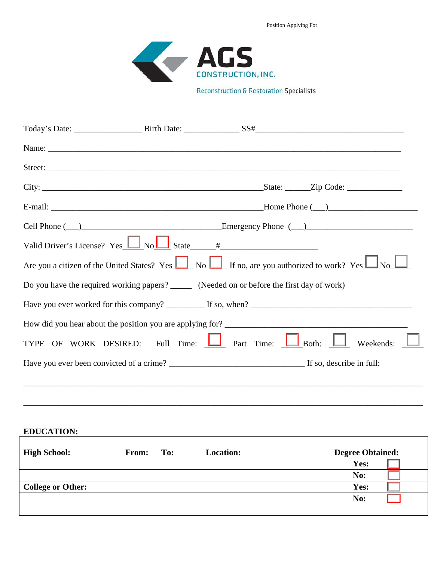Position Applying For



**Reconstruction & Restoration Specialists** 

|                   | Valid Driver's License? Yes $\boxed{\phantom{2}\bigcup N_0 \bigcup}$ State $\phantom{2}\text{#}\xspace$                  |
|-------------------|--------------------------------------------------------------------------------------------------------------------------|
|                   | Are you a citizen of the United States? Yes $\Box$ No $\Box$ If no, are you authorized to work? Yes $\Box$ No $\Box$     |
|                   | Do you have the required working papers? _______ (Needed on or before the first day of work)                             |
|                   |                                                                                                                          |
|                   | How did you hear about the position you are applying for?                                                                |
| <b>TYPE</b><br>OF | WORK DESIRED: Full Time: $\boxed{\phantom{1}}$ Part Time: $\boxed{\phantom{1}}$ Both: $\boxed{\phantom{1}}$<br>Weekends: |
|                   |                                                                                                                          |
|                   |                                                                                                                          |
|                   |                                                                                                                          |

**EDUCATION:**  $\overline{\Gamma}$ 

| <b>High School:</b>      | <b>From:</b> | To: | <b>Location:</b> | <b>Degree Obtained:</b> |
|--------------------------|--------------|-----|------------------|-------------------------|
|                          |              |     |                  | Yes:                    |
|                          |              |     |                  | No:                     |
| <b>College or Other:</b> |              |     |                  | Yes:                    |
|                          |              |     |                  | No:                     |
|                          |              |     |                  |                         |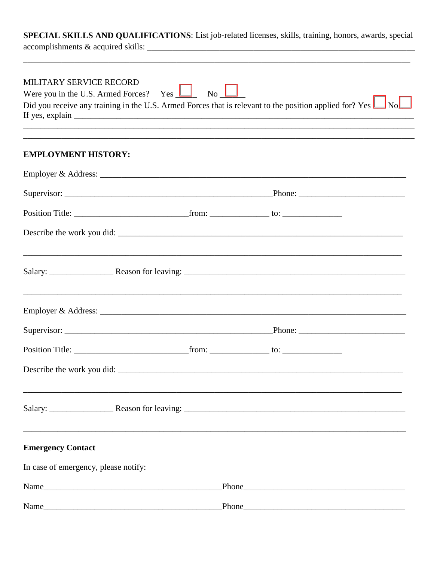SPECIAL SKILLS AND QUALIFICATIONS: List job-related licenses, skills, training, honors, awards, special

| MILITARY SERVICE RECORD<br>Were you in the U.S. Armed Forces? Yes $\boxed{\phantom{2} \bullet \phantom{2}}$ No $\boxed{\phantom{2} \bullet \phantom{2}}$<br>Did you receive any training in the U.S. Armed Forces that is relevant to the position applied for? Yes $\Box$ No<br>,我们也不能在这里的时候,我们也不能在这里的时候,我们也不能会在这里的时候,我们也不能会在这里的时候,我们也不能会在这里的时候,我们也不能会在这里的时候,我们也不 |                                                                                                                      |  |  |  |  |  |
|--------------------------------------------------------------------------------------------------------------------------------------------------------------------------------------------------------------------------------------------------------------------------------------------------------------------------------------------------------------------|----------------------------------------------------------------------------------------------------------------------|--|--|--|--|--|
| <b>EMPLOYMENT HISTORY:</b>                                                                                                                                                                                                                                                                                                                                         |                                                                                                                      |  |  |  |  |  |
|                                                                                                                                                                                                                                                                                                                                                                    |                                                                                                                      |  |  |  |  |  |
|                                                                                                                                                                                                                                                                                                                                                                    |                                                                                                                      |  |  |  |  |  |
|                                                                                                                                                                                                                                                                                                                                                                    |                                                                                                                      |  |  |  |  |  |
|                                                                                                                                                                                                                                                                                                                                                                    |                                                                                                                      |  |  |  |  |  |
|                                                                                                                                                                                                                                                                                                                                                                    |                                                                                                                      |  |  |  |  |  |
|                                                                                                                                                                                                                                                                                                                                                                    | <u> 1999 - Jan James James James James James James James James James James James James James James James James J</u> |  |  |  |  |  |
|                                                                                                                                                                                                                                                                                                                                                                    |                                                                                                                      |  |  |  |  |  |
|                                                                                                                                                                                                                                                                                                                                                                    |                                                                                                                      |  |  |  |  |  |
| Describe the work you did:                                                                                                                                                                                                                                                                                                                                         |                                                                                                                      |  |  |  |  |  |
|                                                                                                                                                                                                                                                                                                                                                                    |                                                                                                                      |  |  |  |  |  |
| <b>Emergency Contact</b>                                                                                                                                                                                                                                                                                                                                           |                                                                                                                      |  |  |  |  |  |
| In case of emergency, please notify:                                                                                                                                                                                                                                                                                                                               |                                                                                                                      |  |  |  |  |  |
| Name___                                                                                                                                                                                                                                                                                                                                                            |                                                                                                                      |  |  |  |  |  |